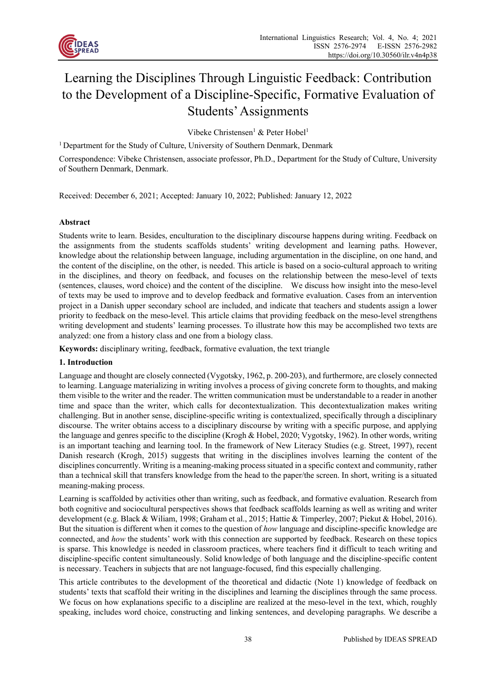

# Learning the Disciplines Through Linguistic Feedback: Contribution to the Development of a Discipline-Specific, Formative Evaluation of Students' Assignments

Vibeke Christensen<sup>1</sup> & Peter Hobel<sup>1</sup>

<sup>1</sup> Department for the Study of Culture, University of Southern Denmark, Denmark

Correspondence: Vibeke Christensen, associate professor, Ph.D., Department for the Study of Culture, University of Southern Denmark, Denmark.

Received: December 6, 2021; Accepted: January 10, 2022; Published: January 12, 2022

#### **Abstract**

Students write to learn. Besides, enculturation to the disciplinary discourse happens during writing. Feedback on the assignments from the students scaffolds students' writing development and learning paths. However, knowledge about the relationship between language, including argumentation in the discipline, on one hand, and the content of the discipline, on the other, is needed. This article is based on a socio-cultural approach to writing in the disciplines, and theory on feedback, and focuses on the relationship between the meso-level of texts (sentences, clauses, word choice) and the content of the discipline. We discuss how insight into the meso-level of texts may be used to improve and to develop feedback and formative evaluation. Cases from an intervention project in a Danish upper secondary school are included, and indicate that teachers and students assign a lower priority to feedback on the meso-level. This article claims that providing feedback on the meso-level strengthens writing development and students' learning processes. To illustrate how this may be accomplished two texts are analyzed: one from a history class and one from a biology class.

**Keywords:** disciplinary writing, feedback, formative evaluation, the text triangle

## **1. Introduction**

Language and thought are closely connected (Vygotsky, 1962, p. 200-203), and furthermore, are closely connected to learning. Language materializing in writing involves a process of giving concrete form to thoughts, and making them visible to the writer and the reader. The written communication must be understandable to a reader in another time and space than the writer, which calls for decontextualization. This decontextualization makes writing challenging. But in another sense, discipline-specific writing is contextualized, specifically through a disciplinary discourse. The writer obtains access to a disciplinary discourse by writing with a specific purpose, and applying the language and genres specific to the discipline (Krogh & Hobel, 2020; Vygotsky, 1962). In other words, writing is an important teaching and learning tool. In the framework of New Literacy Studies (e.g. Street, 1997), recent Danish research (Krogh, 2015) suggests that writing in the disciplines involves learning the content of the disciplines concurrently. Writing is a meaning-making process situated in a specific context and community, rather than a technical skill that transfers knowledge from the head to the paper/the screen. In short, writing is a situated meaning-making process.

Learning is scaffolded by activities other than writing, such as feedback, and formative evaluation. Research from both cognitive and sociocultural perspectives shows that feedback scaffolds learning as well as writing and writer development (e.g. Black & Wiliam, 1998; Graham et al., 2015; Hattie & Timperley, 2007; Piekut & Hobel, 2016). But the situation is different when it comes to the question of *how* language and discipline-specific knowledge are connected, and *how* the students' work with this connection are supported by feedback. Research on these topics is sparse. This knowledge is needed in classroom practices, where teachers find it difficult to teach writing and discipline-specific content simultaneously. Solid knowledge of both language and the discipline-specific content is necessary. Teachers in subjects that are not language-focused, find this especially challenging.

This article contributes to the development of the theoretical and didactic (Note 1) knowledge of feedback on students' texts that scaffold their writing in the disciplines and learning the disciplines through the same process. We focus on how explanations specific to a discipline are realized at the meso-level in the text, which, roughly speaking, includes word choice, constructing and linking sentences, and developing paragraphs. We describe a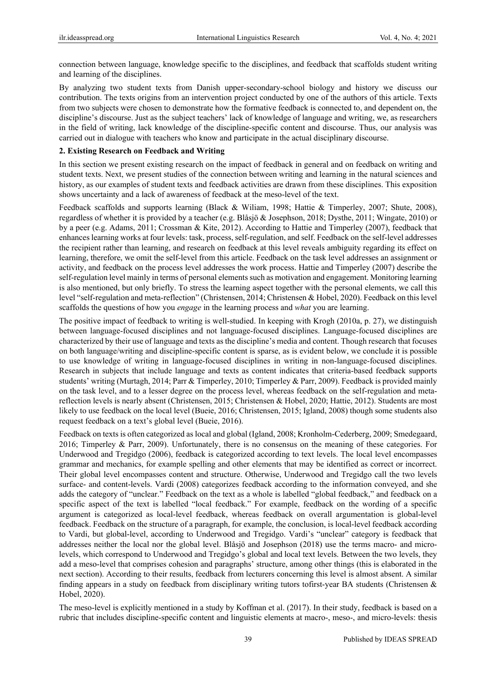connection between language, knowledge specific to the disciplines, and feedback that scaffolds student writing and learning of the disciplines.

By analyzing two student texts from Danish upper-secondary-school biology and history we discuss our contribution. The texts origins from an intervention project conducted by one of the authors of this article. Texts from two subjects were chosen to demonstrate how the formative feedback is connected to, and dependent on, the discipline's discourse. Just as the subject teachers' lack of knowledge of language and writing, we, as researchers in the field of writing, lack knowledge of the discipline-specific content and discourse. Thus, our analysis was carried out in dialogue with teachers who know and participate in the actual disciplinary discourse.

#### **2. Existing Research on Feedback and Writing**

In this section we present existing research on the impact of feedback in general and on feedback on writing and student texts. Next, we present studies of the connection between writing and learning in the natural sciences and history, as our examples of student texts and feedback activities are drawn from these disciplines. This exposition shows uncertainty and a lack of awareness of feedback at the meso-level of the text.

Feedback scaffolds and supports learning (Black & Wiliam, 1998; Hattie & Timperley, 2007; Shute, 2008), regardless of whether it is provided by a teacher (e.g. Blåsjö & Josephson, 2018; Dysthe, 2011; Wingate, 2010) or by a peer (e.g. Adams, 2011; Crossman & Kite, 2012). According to Hattie and Timperley (2007), feedback that enhances learning works at four levels: task, process, self-regulation, and self. Feedback on the self-level addresses the recipient rather than learning, and research on feedback at this level reveals ambiguity regarding its effect on learning, therefore, we omit the self-level from this article. Feedback on the task level addresses an assignment or activity, and feedback on the process level addresses the work process. Hattie and Timperley (2007) describe the self-regulation level mainly in terms of personal elements such as motivation and engagement. Monitoring learning is also mentioned, but only briefly. To stress the learning aspect together with the personal elements, we call this level "self-regulation and meta-reflection" (Christensen, 2014; Christensen & Hobel, 2020). Feedback on this level scaffolds the questions of how you *engage* in the learning process and *what* you are learning.

The positive impact of feedback to writing is well-studied. In keeping with Krogh (2010a, p. 27), we distinguish between language-focused disciplines and not language-focused disciplines. Language-focused disciplines are characterized by their use of language and texts as the discipline's media and content. Though research that focuses on both language/writing and discipline-specific content is sparse, as is evident below, we conclude it is possible to use knowledge of writing in language-focused disciplines in writing in non-language-focused disciplines. Research in subjects that include language and texts as content indicates that criteria-based feedback supports students' writing (Murtagh, 2014; Parr & Timperley, 2010; Timperley & Parr, 2009). Feedback is provided mainly on the task level, and to a lesser degree on the process level, whereas feedback on the self-regulation and metareflection levels is nearly absent (Christensen, 2015; Christensen & Hobel, 2020; Hattie, 2012). Students are most likely to use feedback on the local level (Bueie, 2016; Christensen, 2015; Igland, 2008) though some students also request feedback on a text's global level (Bueie, 2016).

Feedback on texts is often categorized as local and global (Igland, 2008; Kronholm-Cederberg, 2009; Smedegaard, 2016; Timperley & Parr, 2009). Unfortunately, there is no consensus on the meaning of these categories. For Underwood and Tregidgo (2006), feedback is categorized according to text levels. The local level encompasses grammar and mechanics, for example spelling and other elements that may be identified as correct or incorrect. Their global level encompasses content and structure. Otherwise, Underwood and Tregidgo call the two levels surface- and content-levels. Vardi (2008) categorizes feedback according to the information conveyed, and she adds the category of "unclear." Feedback on the text as a whole is labelled "global feedback," and feedback on a specific aspect of the text is labelled "local feedback." For example, feedback on the wording of a specific argument is categorized as local-level feedback, whereas feedback on overall argumentation is global-level feedback. Feedback on the structure of a paragraph, for example, the conclusion, is local-level feedback according to Vardi, but global-level, according to Underwood and Tregidgo. Vardi's "unclear" category is feedback that addresses neither the local nor the global level. Blåsjö and Josephson (2018) use the terms macro- and microlevels, which correspond to Underwood and Tregidgo's global and local text levels. Between the two levels, they add a meso-level that comprises cohesion and paragraphs' structure, among other things (this is elaborated in the next section). According to their results, feedback from lecturers concerning this level is almost absent. A similar finding appears in a study on feedback from disciplinary writing tutors tofirst-year BA students (Christensen & Hobel, 2020).

The meso-level is explicitly mentioned in a study by Koffman et al. (2017). In their study, feedback is based on a rubric that includes discipline-specific content and linguistic elements at macro-, meso-, and micro-levels: thesis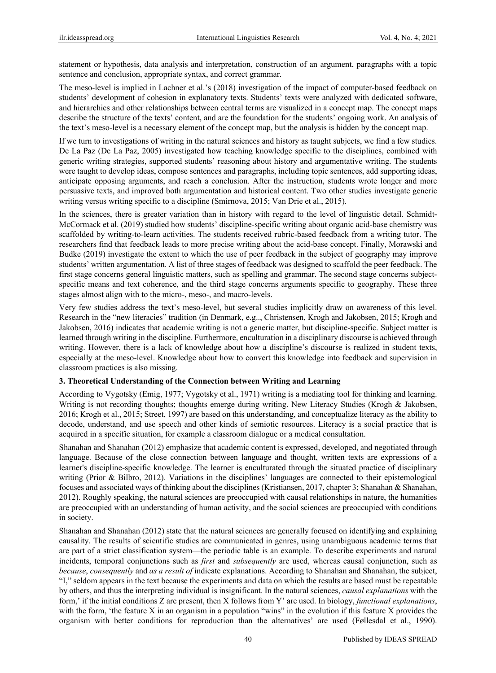statement or hypothesis, data analysis and interpretation, construction of an argument, paragraphs with a topic sentence and conclusion, appropriate syntax, and correct grammar.

The meso-level is implied in Lachner et al.'s (2018) investigation of the impact of computer-based feedback on students' development of cohesion in explanatory texts. Students' texts were analyzed with dedicated software, and hierarchies and other relationships between central terms are visualized in a concept map. The concept maps describe the structure of the texts' content, and are the foundation for the students' ongoing work. An analysis of the text's meso-level is a necessary element of the concept map, but the analysis is hidden by the concept map.

If we turn to investigations of writing in the natural sciences and history as taught subjects, we find a few studies. De La Paz (De La Paz, 2005) investigated how teaching knowledge specific to the disciplines, combined with generic writing strategies, supported students' reasoning about history and argumentative writing. The students were taught to develop ideas, compose sentences and paragraphs, including topic sentences, add supporting ideas, anticipate opposing arguments, and reach a conclusion. After the instruction, students wrote longer and more persuasive texts, and improved both argumentation and historical content. Two other studies investigate generic writing versus writing specific to a discipline (Smirnova, 2015; Van Drie et al., 2015).

In the sciences, there is greater variation than in history with regard to the level of linguistic detail. Schmidt-McCormack et al. (2019) studied how students' discipline-specific writing about organic acid-base chemistry was scaffolded by writing-to-learn activities. The students received rubric-based feedback from a writing tutor. The researchers find that feedback leads to more precise writing about the acid-base concept. Finally, Morawski and Budke (2019) investigate the extent to which the use of peer feedback in the subject of geography may improve students' written argumentation. A list of three stages of feedback was designed to scaffold the peer feedback. The first stage concerns general linguistic matters, such as spelling and grammar. The second stage concerns subjectspecific means and text coherence, and the third stage concerns arguments specific to geography. These three stages almost align with to the micro-, meso-, and macro-levels.

Very few studies address the text's meso-level, but several studies implicitly draw on awareness of this level. Research in the "new literacies" tradition (in Denmark, e.g.., Christensen, Krogh and Jakobsen, 2015; Krogh and Jakobsen, 2016) indicates that academic writing is not a generic matter, but discipline-specific. Subject matter is learned through writing in the discipline. Furthermore, enculturation in a disciplinary discourse is achieved through writing. However, there is a lack of knowledge about how a discipline's discourse is realized in student texts, especially at the meso-level. Knowledge about how to convert this knowledge into feedback and supervision in classroom practices is also missing.

## **3. Theoretical Understanding of the Connection between Writing and Learning**

According to Vygotsky (Emig, 1977; Vygotsky et al., 1971) writing is a mediating tool for thinking and learning. Writing is not recording thoughts; thoughts emerge during writing. New Literacy Studies (Krogh & Jakobsen, 2016; Krogh et al., 2015; Street, 1997) are based on this understanding, and conceptualize literacy as the ability to decode, understand, and use speech and other kinds of semiotic resources. Literacy is a social practice that is acquired in a specific situation, for example a classroom dialogue or a medical consultation.

Shanahan and Shanahan (2012) emphasize that academic content is expressed, developed, and negotiated through language. Because of the close connection between language and thought, written texts are expressions of a learner's discipline-specific knowledge. The learner is enculturated through the situated practice of disciplinary writing (Prior & Bilbro, 2012). Variations in the disciplines' languages are connected to their epistemological focuses and associated ways of thinking about the disciplines (Kristiansen, 2017, chapter 3; Shanahan & Shanahan, 2012). Roughly speaking, the natural sciences are preoccupied with causal relationships in nature, the humanities are preoccupied with an understanding of human activity, and the social sciences are preoccupied with conditions in society.

Shanahan and Shanahan (2012) state that the natural sciences are generally focused on identifying and explaining causality. The results of scientific studies are communicated in genres, using unambiguous academic terms that are part of a strict classification system—the periodic table is an example. To describe experiments and natural incidents, temporal conjunctions such as *first* and *subsequently* are used, whereas causal conjunction, such as *because*, *consequently* and *as a result of* indicate explanations. According to Shanahan and Shanahan, the subject, "I," seldom appears in the text because the experiments and data on which the results are based must be repeatable by others, and thus the interpreting individual is insignificant. In the natural sciences, *causal explanations* with the form,' if the initial conditions Z are present, then X follows from Y' are used. In biology, *functional explanations*, with the form, 'the feature X in an organism in a population "wins" in the evolution if this feature X provides the organism with better conditions for reproduction than the alternatives' are used (Føllesdal et al., 1990).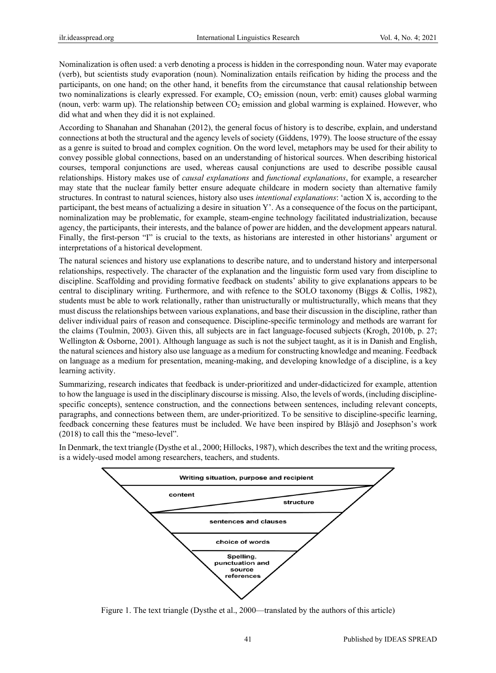Nominalization is often used: a verb denoting a process is hidden in the corresponding noun. Water may evaporate (verb), but scientists study evaporation (noun). Nominalization entails reification by hiding the process and the participants, on one hand; on the other hand, it benefits from the circumstance that causal relationship between two nominalizations is clearly expressed. For example,  $CO<sub>2</sub>$  emission (noun, verb: emit) causes global warming (noun, verb: warm up). The relationship between  $CO<sub>2</sub>$  emission and global warming is explained. However, who did what and when they did it is not explained.

According to Shanahan and Shanahan (2012), the general focus of history is to describe, explain, and understand connections at both the structural and the agency levels of society (Giddens, 1979). The loose structure of the essay as a genre is suited to broad and complex cognition. On the word level, metaphors may be used for their ability to convey possible global connections, based on an understanding of historical sources. When describing historical courses, temporal conjunctions are used, whereas causal conjunctions are used to describe possible causal relationships. History makes use of *causal explanations* and *functional explanations*, for example, a researcher may state that the nuclear family better ensure adequate childcare in modern society than alternative family structures. In contrast to natural sciences, history also uses *intentional explanations*: 'action X is, according to the participant, the best means of actualizing a desire in situation Y'. As a consequence of the focus on the participant, nominalization may be problematic, for example, steam-engine technology facilitated industrialization, because agency, the participants, their interests, and the balance of power are hidden, and the development appears natural. Finally, the first-person "I" is crucial to the texts, as historians are interested in other historians' argument or interpretations of a historical development.

The natural sciences and history use explanations to describe nature, and to understand history and interpersonal relationships, respectively. The character of the explanation and the linguistic form used vary from discipline to discipline. Scaffolding and providing formative feedback on students' ability to give explanations appears to be central to disciplinary writing. Furthermore, and with refence to the SOLO taxonomy (Biggs & Collis, 1982), students must be able to work relationally, rather than unistructurally or multistructurally, which means that they must discuss the relationships between various explanations, and base their discussion in the discipline, rather than deliver individual pairs of reason and consequence. Discipline-specific terminology and methods are warrant for the claims (Toulmin, 2003). Given this, all subjects are in fact language-focused subjects (Krogh, 2010b, p. 27; Wellington & Osborne, 2001). Although language as such is not the subject taught, as it is in Danish and English, the natural sciences and history also use language as a medium for constructing knowledge and meaning. Feedback on language as a medium for presentation, meaning-making, and developing knowledge of a discipline, is a key learning activity.

Summarizing, research indicates that feedback is under-prioritized and under-didacticized for example, attention to how the language is used in the disciplinary discourse is missing. Also, the levels of words, (including disciplinespecific concepts), sentence construction, and the connections between sentences, including relevant concepts, paragraphs, and connections between them, are under-prioritized. To be sensitive to discipline-specific learning, feedback concerning these features must be included. We have been inspired by Blåsjö and Josephson's work (2018) to call this the "meso-level".

In Denmark, the text triangle (Dysthe et al., 2000; Hillocks, 1987), which describes the text and the writing process, is a widely-used model among researchers, teachers, and students.



Figure 1. The text triangle (Dysthe et al., 2000—translated by the authors of this article)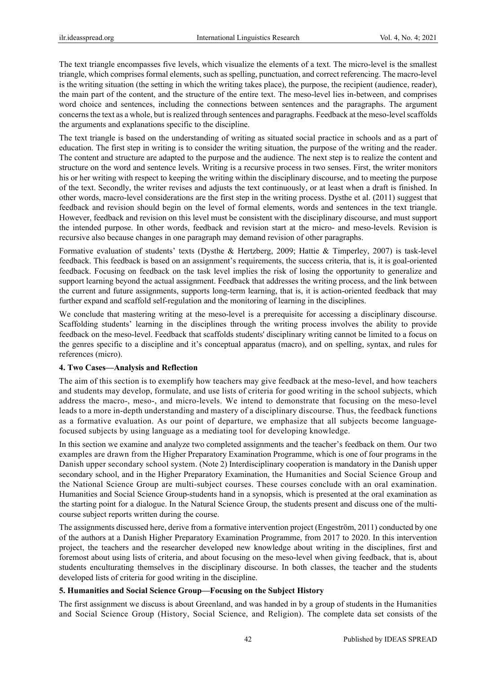The text triangle encompasses five levels, which visualize the elements of a text. The micro-level is the smallest triangle, which comprises formal elements, such as spelling, punctuation, and correct referencing. The macro-level is the writing situation (the setting in which the writing takes place), the purpose, the recipient (audience, reader), the main part of the content, and the structure of the entire text. The meso-level lies in-between, and comprises word choice and sentences, including the connections between sentences and the paragraphs. The argument concerns the text as a whole, but is realized through sentences and paragraphs. Feedback at the meso-level scaffolds the arguments and explanations specific to the discipline.

The text triangle is based on the understanding of writing as situated social practice in schools and as a part of education. The first step in writing is to consider the writing situation, the purpose of the writing and the reader. The content and structure are adapted to the purpose and the audience. The next step is to realize the content and structure on the word and sentence levels. Writing is a recursive process in two senses. First, the writer monitors his or her writing with respect to keeping the writing within the disciplinary discourse, and to meeting the purpose of the text. Secondly, the writer revises and adjusts the text continuously, or at least when a draft is finished. In other words, macro-level considerations are the first step in the writing process. Dysthe et al. (2011) suggest that feedback and revision should begin on the level of formal elements, words and sentences in the text triangle. However, feedback and revision on this level must be consistent with the disciplinary discourse, and must support the intended purpose. In other words, feedback and revision start at the micro- and meso-levels. Revision is recursive also because changes in one paragraph may demand revision of other paragraphs.

Formative evaluation of students' texts (Dysthe & Hertzberg, 2009; Hattie & Timperley, 2007) is task-level feedback. This feedback is based on an assignment's requirements, the success criteria, that is, it is goal-oriented feedback. Focusing on feedback on the task level implies the risk of losing the opportunity to generalize and support learning beyond the actual assignment. Feedback that addresses the writing process, and the link between the current and future assignments, supports long-term learning, that is, it is action-oriented feedback that may further expand and scaffold self-regulation and the monitoring of learning in the disciplines.

We conclude that mastering writing at the meso-level is a prerequisite for accessing a disciplinary discourse. Scaffolding students' learning in the disciplines through the writing process involves the ability to provide feedback on the meso-level. Feedback that scaffolds students' disciplinary writing cannot be limited to a focus on the genres specific to a discipline and it's conceptual apparatus (macro), and on spelling, syntax, and rules for references (micro).

## **4. Two Cases—Analysis and Reflection**

The aim of this section is to exemplify how teachers may give feedback at the meso-level, and how teachers and students may develop, formulate, and use lists of criteria for good writing in the school subjects, which address the macro-, meso-, and micro-levels. We intend to demonstrate that focusing on the meso-level leads to a more in-depth understanding and mastery of a disciplinary discourse. Thus, the feedback functions as a formative evaluation. As our point of departure, we emphasize that all subjects become languagefocused subjects by using language as a mediating tool for developing knowledge.

In this section we examine and analyze two completed assignments and the teacher's feedback on them. Our two examples are drawn from the Higher Preparatory Examination Programme, which is one of four programs in the Danish upper secondary school system. (Note 2) Interdisciplinary cooperation is mandatory in the Danish upper secondary school, and in the Higher Preparatory Examination, the Humanities and Social Science Group and the National Science Group are multi-subject courses. These courses conclude with an oral examination. Humanities and Social Science Group-students hand in a synopsis, which is presented at the oral examination as the starting point for a dialogue. In the Natural Science Group, the students present and discuss one of the multicourse subject reports written during the course.

The assignments discussed here, derive from a formative intervention project (Engeström, 2011) conducted by one of the authors at a Danish Higher Preparatory Examination Programme, from 2017 to 2020. In this intervention project, the teachers and the researcher developed new knowledge about writing in the disciplines, first and foremost about using lists of criteria, and about focusing on the meso-level when giving feedback, that is, about students enculturating themselves in the disciplinary discourse. In both classes, the teacher and the students developed lists of criteria for good writing in the discipline.

## **5. Humanities and Social Science Group—Focusing on the Subject History**

The first assignment we discuss is about Greenland, and was handed in by a group of students in the Humanities and Social Science Group (History, Social Science, and Religion). The complete data set consists of the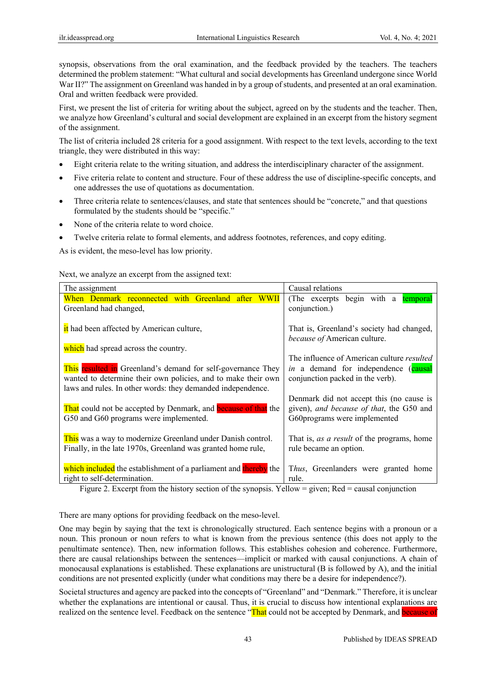synopsis, observations from the oral examination, and the feedback provided by the teachers. The teachers determined the problem statement: "What cultural and social developments has Greenland undergone since World War II?" The assignment on Greenland was handed in by a group of students, and presented at an oral examination. Oral and written feedback were provided.

First, we present the list of criteria for writing about the subject, agreed on by the students and the teacher. Then, we analyze how Greenland's cultural and social development are explained in an excerpt from the history segment of the assignment.

The list of criteria included 28 criteria for a good assignment. With respect to the text levels, according to the text triangle, they were distributed in this way:

- Eight criteria relate to the writing situation, and address the interdisciplinary character of the assignment.
- Five criteria relate to content and structure. Four of these address the use of discipline-specific concepts, and one addresses the use of quotations as documentation.
- Three criteria relate to sentences/clauses, and state that sentences should be "concrete," and that questions formulated by the students should be "specific."
- None of the criteria relate to word choice.
- Twelve criteria relate to formal elements, and address footnotes, references, and copy editing.

As is evident, the meso-level has low priority.

Next, we analyze an excerpt from the assigned text:

| The assignment                                                        | Causal relations                                  |
|-----------------------------------------------------------------------|---------------------------------------------------|
| When Denmark reconnected with Greenland after WWII                    | (The excerpts begin with a<br>temporal            |
| Greenland had changed,                                                | conjunction.)                                     |
|                                                                       |                                                   |
| it had been affected by American culture,                             | That is, Greenland's society had changed,         |
|                                                                       | because of American culture.                      |
| which had spread across the country.                                  |                                                   |
|                                                                       | The influence of American culture <i>resulted</i> |
| This resulted in Greenland's demand for self-governance They          | in a demand for independence (causal              |
| wanted to determine their own policies, and to make their own         | conjunction packed in the verb).                  |
| laws and rules. In other words: they demanded independence.           |                                                   |
|                                                                       | Denmark did not accept this (no cause is          |
| That could not be accepted by Denmark, and <b>because</b> of that the | given), and because of that, the G50 and          |
| G50 and G60 programs were implemented.                                | G60programs were implemented                      |
|                                                                       |                                                   |
| This was a way to modernize Greenland under Danish control.           | That is, <i>as a result</i> of the programs, home |
| Finally, in the late 1970s, Greenland was granted home rule,          | rule became an option.                            |
|                                                                       |                                                   |
| which included the establishment of a parliament and thereby the      | Thus, Greenlanders were granted home              |
| right to self-determination.                                          | rule.                                             |

Figure 2. Excerpt from the history section of the synopsis. Yellow = given; Red = causal conjunction

There are many options for providing feedback on the meso-level.

One may begin by saying that the text is chronologically structured. Each sentence begins with a pronoun or a noun. This pronoun or noun refers to what is known from the previous sentence (this does not apply to the penultimate sentence). Then, new information follows. This establishes cohesion and coherence. Furthermore, there are causal relationships between the sentences—implicit or marked with causal conjunctions. A chain of monocausal explanations is established. These explanations are unistructural (B is followed by A), and the initial conditions are not presented explicitly (under what conditions may there be a desire for independence?).

Societal structures and agency are packed into the concepts of "Greenland" and "Denmark." Therefore, it is unclear whether the explanations are intentional or causal. Thus, it is crucial to discuss how intentional explanations are realized on the sentence level. Feedback on the sentence "That could not be accepted by Denmark, and **because of**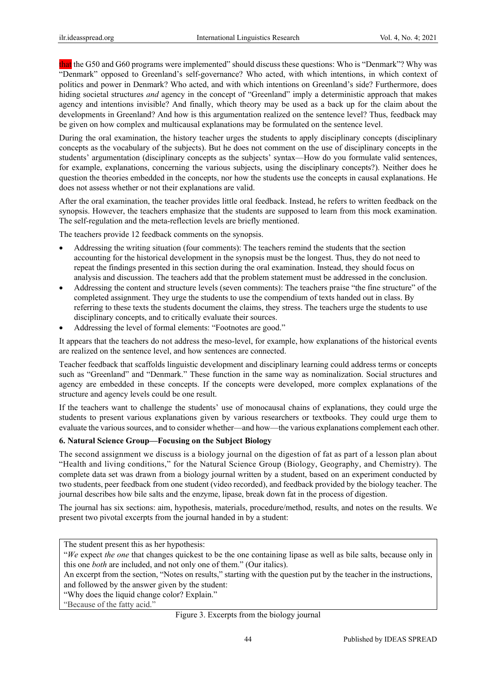that the G50 and G60 programs were implemented" should discuss these questions: Who is "Denmark"? Why was "Denmark" opposed to Greenland's self-governance? Who acted, with which intentions, in which context of politics and power in Denmark? Who acted, and with which intentions on Greenland's side? Furthermore, does hiding societal structures *and* agency in the concept of "Greenland" imply a deterministic approach that makes agency and intentions invisible? And finally, which theory may be used as a back up for the claim about the developments in Greenland? And how is this argumentation realized on the sentence level? Thus, feedback may be given on how complex and multicausal explanations may be formulated on the sentence level.

During the oral examination, the history teacher urges the students to apply disciplinary concepts (disciplinary concepts as the vocabulary of the subjects). But he does not comment on the use of disciplinary concepts in the students' argumentation (disciplinary concepts as the subjects' syntax—How do you formulate valid sentences, for example, explanations, concerning the various subjects, using the disciplinary concepts?). Neither does he question the theories embedded in the concepts, nor how the students use the concepts in causal explanations. He does not assess whether or not their explanations are valid.

After the oral examination, the teacher provides little oral feedback. Instead, he refers to written feedback on the synopsis. However, the teachers emphasize that the students are supposed to learn from this mock examination. The self-regulation and the meta-reflection levels are briefly mentioned.

The teachers provide 12 feedback comments on the synopsis.

- Addressing the writing situation (four comments): The teachers remind the students that the section accounting for the historical development in the synopsis must be the longest. Thus, they do not need to repeat the findings presented in this section during the oral examination. Instead, they should focus on analysis and discussion. The teachers add that the problem statement must be addressed in the conclusion.
- Addressing the content and structure levels (seven comments): The teachers praise "the fine structure" of the completed assignment. They urge the students to use the compendium of texts handed out in class. By referring to these texts the students document the claims, they stress. The teachers urge the students to use disciplinary concepts, and to critically evaluate their sources.
- Addressing the level of formal elements: "Footnotes are good."

It appears that the teachers do not address the meso-level, for example, how explanations of the historical events are realized on the sentence level, and how sentences are connected.

Teacher feedback that scaffolds linguistic development and disciplinary learning could address terms or concepts such as "Greenland" and "Denmark." These function in the same way as nominalization. Social structures and agency are embedded in these concepts. If the concepts were developed, more complex explanations of the structure and agency levels could be one result.

If the teachers want to challenge the students' use of monocausal chains of explanations, they could urge the students to present various explanations given by various researchers or textbooks. They could urge them to evaluate the various sources, and to consider whether—and how—the various explanations complement each other.

## **6. Natural Science Group—Focusing on the Subject Biology**

The second assignment we discuss is a biology journal on the digestion of fat as part of a lesson plan about "Health and living conditions," for the Natural Science Group (Biology, Geography, and Chemistry). The complete data set was drawn from a biology journal written by a student, based on an experiment conducted by two students, peer feedback from one student (video recorded), and feedback provided by the biology teacher. The journal describes how bile salts and the enzyme, lipase, break down fat in the process of digestion.

The journal has six sections: aim, hypothesis, materials, procedure/method, results, and notes on the results. We present two pivotal excerpts from the journal handed in by a student:

The student present this as her hypothesis:

"Why does the liquid change color? Explain."

"Because of the fatty acid."

<sup>&</sup>quot;*We* expect *the one* that changes quickest to be the one containing lipase as well as bile salts, because only in this one *both* are included, and not only one of them." (Our italics).

An excerpt from the section, "Notes on results," starting with the question put by the teacher in the instructions, and followed by the answer given by the student:

Figure 3. Excerpts from the biology journal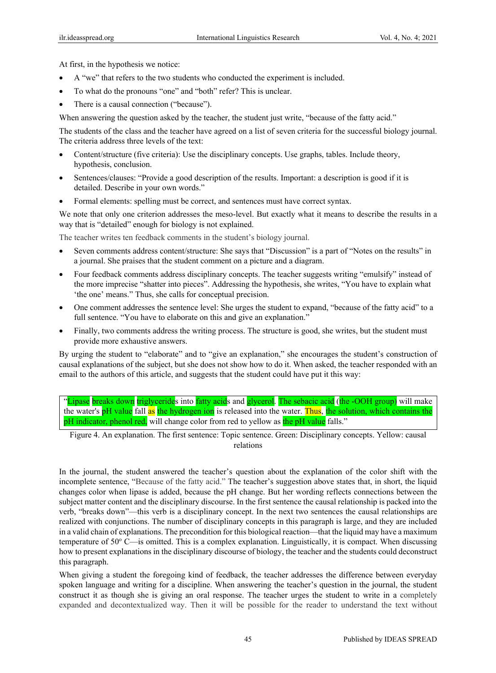At first, in the hypothesis we notice:

- A "we" that refers to the two students who conducted the experiment is included.
- To what do the pronouns "one" and "both" refer? This is unclear.
- There is a causal connection ("because").

When answering the question asked by the teacher, the student just write, "because of the fatty acid."

The students of the class and the teacher have agreed on a list of seven criteria for the successful biology journal. The criteria address three levels of the text:

- Content/structure (five criteria): Use the disciplinary concepts. Use graphs, tables. Include theory, hypothesis, conclusion.
- Sentences/clauses: "Provide a good description of the results. Important: a description is good if it is detailed. Describe in your own words."
- Formal elements: spelling must be correct, and sentences must have correct syntax.

We note that only one criterion addresses the meso-level. But exactly what it means to describe the results in a way that is "detailed" enough for biology is not explained.

The teacher writes ten feedback comments in the student's biology journal.

- Seven comments address content/structure: She says that "Discussion" is a part of "Notes on the results" in a journal. She praises that the student comment on a picture and a diagram.
- Four feedback comments address disciplinary concepts. The teacher suggests writing "emulsify" instead of the more imprecise "shatter into pieces". Addressing the hypothesis, she writes, "You have to explain what 'the one' means." Thus, she calls for conceptual precision.
- One comment addresses the sentence level: She urges the student to expand, "because of the fatty acid" to a full sentence. "You have to elaborate on this and give an explanation."
- Finally, two comments address the writing process. The structure is good, she writes, but the student must provide more exhaustive answers.

By urging the student to "elaborate" and to "give an explanation," she encourages the student's construction of causal explanations of the subject, but she does not show how to do it. When asked, the teacher responded with an email to the authors of this article, and suggests that the student could have put it this way:

"Lipase breaks down triglycerides into fatty acids and glycerol. The sebacic acid (the -OOH group) will make the water's pH value fall as the hydrogen ion is released into the water. Thus, the solution, which contains the pH indicator, phenol red, will change color from red to yellow as the pH value falls."

Figure 4. An explanation. The first sentence: Topic sentence. Green: Disciplinary concepts. Yellow: causal relations

In the journal, the student answered the teacher's question about the explanation of the color shift with the incomplete sentence, "Because of the fatty acid." The teacher's suggestion above states that, in short, the liquid changes color when lipase is added, because the pH change. But her wording reflects connections between the subject matter content and the disciplinary discourse. In the first sentence the causal relationship is packed into the verb, "breaks down"—this verb is a disciplinary concept. In the next two sentences the causal relationships are realized with conjunctions. The number of disciplinary concepts in this paragraph is large, and they are included in a valid chain of explanations. The precondition for this biological reaction—that the liquid may have a maximum temperature of 50° C—is omitted. This is a complex explanation. Linguistically, it is compact. When discussing how to present explanations in the disciplinary discourse of biology, the teacher and the students could deconstruct this paragraph.

When giving a student the foregoing kind of feedback, the teacher addresses the difference between everyday spoken language and writing for a discipline. When answering the teacher's question in the journal, the student construct it as though she is giving an oral response. The teacher urges the student to write in a completely expanded and decontextualized way. Then it will be possible for the reader to understand the text without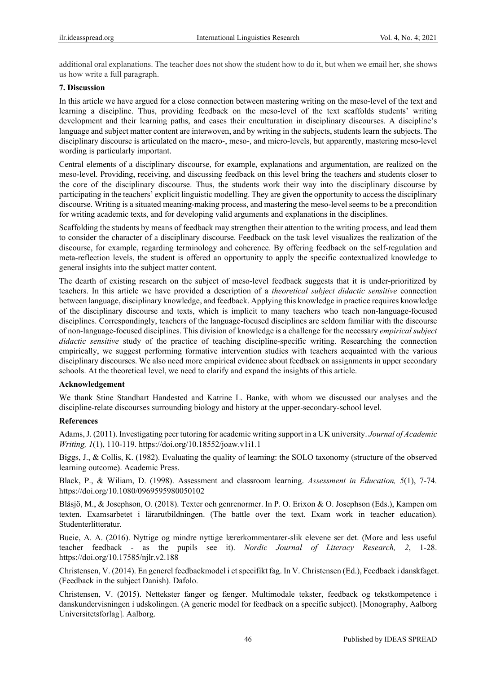additional oral explanations. The teacher does not show the student how to do it, but when we email her, she shows us how write a full paragraph.

#### **7. Discussion**

In this article we have argued for a close connection between mastering writing on the meso-level of the text and learning a discipline. Thus, providing feedback on the meso-level of the text scaffolds students' writing development and their learning paths, and eases their enculturation in disciplinary discourses. A discipline's language and subject matter content are interwoven, and by writing in the subjects, students learn the subjects. The disciplinary discourse is articulated on the macro-, meso-, and micro-levels, but apparently, mastering meso-level wording is particularly important.

Central elements of a disciplinary discourse, for example, explanations and argumentation, are realized on the meso-level. Providing, receiving, and discussing feedback on this level bring the teachers and students closer to the core of the disciplinary discourse. Thus, the students work their way into the disciplinary discourse by participating in the teachers' explicit linguistic modelling. They are given the opportunity to access the disciplinary discourse. Writing is a situated meaning-making process, and mastering the meso-level seems to be a precondition for writing academic texts, and for developing valid arguments and explanations in the disciplines.

Scaffolding the students by means of feedback may strengthen their attention to the writing process, and lead them to consider the character of a disciplinary discourse. Feedback on the task level visualizes the realization of the discourse, for example, regarding terminology and coherence. By offering feedback on the self-regulation and meta-reflection levels, the student is offered an opportunity to apply the specific contextualized knowledge to general insights into the subject matter content.

The dearth of existing research on the subject of meso-level feedback suggests that it is under-prioritized by teachers. In this article we have provided a description of a *theoretical subject didactic sensitive* connection between language, disciplinary knowledge, and feedback. Applying this knowledge in practice requires knowledge of the disciplinary discourse and texts, which is implicit to many teachers who teach non-language-focused disciplines. Correspondingly, teachers of the language-focused disciplines are seldom familiar with the discourse of non-language-focused disciplines. This division of knowledge is a challenge for the necessary *empirical subject didactic sensitive* study of the practice of teaching discipline-specific writing. Researching the connection empirically, we suggest performing formative intervention studies with teachers acquainted with the various disciplinary discourses. We also need more empirical evidence about feedback on assignments in upper secondary schools. At the theoretical level, we need to clarify and expand the insights of this article.

## **Acknowledgement**

We thank Stine Standhart Handested and Katrine L. Banke, with whom we discussed our analyses and the discipline-relate discourses surrounding biology and history at the upper-secondary-school level.

#### **References**

Adams, J. (2011). Investigating peer tutoring for academic writing support in a UK university. *Journal of Academic Writing, 1*(1), 110-119. https://doi.org/10.18552/joaw.v1i1.1

Biggs, J., & Collis, K. (1982). Evaluating the quality of learning: the SOLO taxonomy (structure of the observed learning outcome). Academic Press.

Black, P., & Wiliam, D. (1998). Assessment and classroom learning. *Assessment in Education, 5*(1), 7-74. https://doi.org/10.1080/0969595980050102

Blåsjö, M., & Josephson, O. (2018). Texter och genrenormer. In P. O. Erixon & O. Josephson (Eds.), Kampen om texten. Examsarbetet i lärarutbildningen. (The battle over the text. Exam work in teacher education). Studenterlitteratur.

Bueie, A. A. (2016). Nyttige og mindre nyttige lærerkommentarer-slik elevene ser det. (More and less useful teacher feedback - as the pupils see it). *Nordic Journal of Literacy Research, 2*, 1-28. https://doi.org/10.17585/njlr.v2.188

Christensen, V. (2014). En generel feedbackmodel i et specifikt fag. In V. Christensen (Ed.), Feedback i danskfaget. (Feedback in the subject Danish). Dafolo.

Christensen, V. (2015). Nettekster fanger og fænger. Multimodale tekster, feedback og tekstkompetence i danskundervisningen i udskolingen. (A generic model for feedback on a specific subject). [Monography, Aalborg Universitetsforlag]. Aalborg.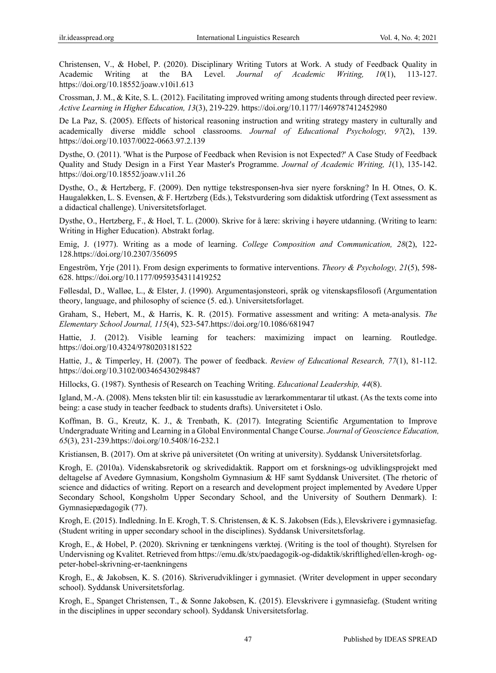Christensen, V., & Hobel, P. (2020). Disciplinary Writing Tutors at Work. A study of Feedback Quality in Academic Writing at the BA Level. *Journal of Academic Writing, 10*(1), 113-127. https://doi.org/10.18552/joaw.v10i1.613

Crossman, J. M., & Kite, S. L. (2012). Facilitating improved writing among students through directed peer review. *Active Learning in Higher Education, 13*(3), 219-229. https://doi.org/10.1177/1469787412452980

De La Paz, S. (2005). Effects of historical reasoning instruction and writing strategy mastery in culturally and academically diverse middle school classrooms. *Journal of Educational Psychology, 97*(2), 139. https://doi.org/10.1037/0022-0663.97.2.139

Dysthe, O. (2011). 'What is the Purpose of Feedback when Revision is not Expected?' A Case Study of Feedback Quality and Study Design in a First Year Master's Programme. *Journal of Academic Writing, 1*(1), 135-142. https://doi.org/10.18552/joaw.v1i1.26

Dysthe, O., & Hertzberg, F. (2009). Den nyttige tekstresponsen-hva sier nyere forskning? In H. Otnes, O. K. Haugaløkken, L. S. Evensen, & F. Hertzberg (Eds.), Tekstvurdering som didaktisk utfordring (Text assessment as a didactical challenge). Universitetsforlaget.

Dysthe, O., Hertzberg, F., & Hoel, T. L. (2000). Skrive for å lære: skriving i høyere utdanning. (Writing to learn: Writing in Higher Education). Abstrakt forlag.

Emig, J. (1977). Writing as a mode of learning. *College Composition and Communication, 28*(2), 122- 128.https://doi.org/10.2307/356095

Engeström, Yrje (2011). From design experiments to formative interventions. *Theory & Psychology, 21*(5), 598- 628. https://doi.org/10.1177/0959354311419252

Føllesdal, D., Walløe, L., & Elster, J. (1990). Argumentasjonsteori, språk og vitenskapsfilosofi (Argumentation theory, language, and philosophy of science (5. ed.). Universitetsforlaget.

Graham, S., Hebert, M., & Harris, K. R. (2015). Formative assessment and writing: A meta-analysis. *The Elementary School Journal, 115*(4), 523-547.https://doi.org/10.1086/681947

Hattie, J. (2012). Visible learning for teachers: maximizing impact on learning. Routledge. https://doi.org/10.4324/9780203181522

Hattie, J., & Timperley, H. (2007). The power of feedback. *Review of Educational Research, 77*(1), 81-112. https://doi.org/10.3102/003465430298487

Hillocks, G. (1987). Synthesis of Research on Teaching Writing. *Educational Leadership, 44*(8).

Igland, M.-A. (2008). Mens teksten blir til: ein kasusstudie av lærarkommentarar til utkast. (As the texts come into being: a case study in teacher feedback to students drafts). Universitetet i Oslo.

Koffman, B. G., Kreutz, K. J., & Trenbath, K. (2017). Integrating Scientific Argumentation to Improve Undergraduate Writing and Learning in a Global Environmental Change Course. *Journal of Geoscience Education, 65*(3), 231-239.https://doi.org/10.5408/16-232.1

Kristiansen, B. (2017). Om at skrive på universitetet (On writing at university). Syddansk Universitetsforlag.

Krogh, E. (2010a). Videnskabsretorik og skrivedidaktik. Rapport om et forsknings-og udviklingsprojekt med deltagelse af Avedøre Gymnasium, Kongsholm Gymnasium & HF samt Syddansk Universitet. (The rhetoric of science and didactics of writing. Report on a research and development project implemented by Avedøre Upper Secondary School, Kongsholm Upper Secondary School, and the University of Southern Denmark). I: Gymnasiepædagogik (77).

Krogh, E. (2015). Indledning. In E. Krogh, T. S. Christensen, & K. S. Jakobsen (Eds.), Elevskrivere i gymnasiefag. (Student writing in upper secondary school in the disciplines). Syddansk Universitetsforlag.

Krogh, E., & Hobel, P. (2020). Skrivning er tænkningens værktøj. (Writing is the tool of thought). Styrelsen for Undervisning og Kvalitet. Retrieved from https://emu.dk/stx/paedagogik-og-didaktik/skriftlighed/ellen-krogh- ogpeter-hobel-skrivning-er-taenkningens

Krogh, E., & Jakobsen, K. S. (2016). Skriverudviklinger i gymnasiet. (Writer development in upper secondary school). Syddansk Universitetsforlag.

Krogh, E., Spanget Christensen, T., & Sonne Jakobsen, K. (2015). Elevskrivere i gymnasiefag. (Student writing in the disciplines in upper secondary school). Syddansk Universitetsforlag.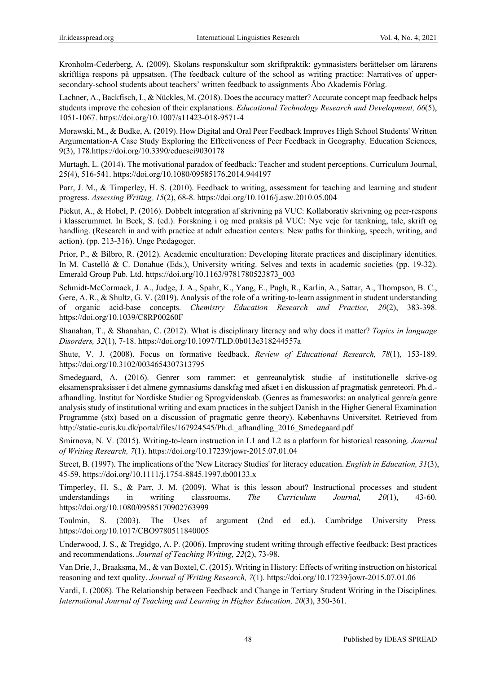Kronholm-Cederberg, A. (2009). Skolans responskultur som skriftpraktik: gymnasisters berättelser om lärarens skriftliga respons på uppsatsen. (The feedback culture of the school as writing practice: Narratives of uppersecondary-school students about teachers' written feedback to assignments Åbo Akademis Förlag.

Lachner, A., Backfisch, I., & Nückles, M. (2018). Does the accuracy matter? Accurate concept map feedback helps students improve the cohesion of their explanations. *Educational Technology Research and Development, 66*(5), 1051-1067. https://doi.org/10.1007/s11423-018-9571-4

Morawski, M., & Budke, A. (2019). How Digital and Oral Peer Feedback Improves High School Students' Written Argumentation-A Case Study Exploring the Effectiveness of Peer Feedback in Geography. Education Sciences, 9(3), 178.https://doi.org/10.3390/educsci9030178

Murtagh, L. (2014). The motivational paradox of feedback: Teacher and student perceptions. Curriculum Journal, 25(4), 516-541. https://doi.org/10.1080/09585176.2014.944197

Parr, J. M., & Timperley, H. S. (2010). Feedback to writing, assessment for teaching and learning and student progress. *Assessing Writing, 15*(2), 68-8. https://doi.org/10.1016/j.asw.2010.05.004

Piekut, A., & Hobel, P. (2016). Dobbelt integration af skrivning på VUC: Kollaborativ skrivning og peer-respons i klasserummet. In Beck, S. (ed.). Forskning i og med praksis på VUC: Nye veje for tænkning, tale, skrift og handling. (Research in and with practice at adult education centers: New paths for thinking, speech, writing, and action). (pp. 213-316). Unge Pædagoger.

Prior, P., & Bilbro, R. (2012). Academic enculturation: Developing literate practices and disciplinary identities. In M. Castelló & C. Donahue (Eds.), University writing. Selves and texts in academic societies (pp. 19-32). Emerald Group Pub. Ltd. https://doi.org/10.1163/9781780523873\_003

Schmidt-McCormack, J. A., Judge, J. A., Spahr, K., Yang, E., Pugh, R., Karlin, A., Sattar, A., Thompson, B. C., Gere, A. R., & Shultz, G. V. (2019). Analysis of the role of a writing-to-learn assignment in student understanding of organic acid-base concepts. *Chemistry Education Research and Practice, 20*(2), 383-398. https://doi.org/10.1039/C8RP00260F

Shanahan, T., & Shanahan, C. (2012). What is disciplinary literacy and why does it matter? *Topics in language Disorders, 32*(1), 7-18. https://doi.org/10.1097/TLD.0b013e318244557a

Shute, V. J. (2008). Focus on formative feedback. *Review of Educational Research, 78*(1), 153-189. https://doi.org/10.3102/0034654307313795

Smedegaard, A. (2016). Genrer som rammer: et genreanalytisk studie af institutionelle skrive-og eksamenspraksisser i det almene gymnasiums danskfag med afsæt i en diskussion af pragmatisk genreteori. Ph.d. afhandling. Institut for Nordiske Studier og Sprogvidenskab. (Genres as framesworks: an analytical genre/a genre analysis study of institutional writing and exam practices in the subject Danish in the Higher General Examination Programme (stx) based on a discussion of pragmatic genre theory). Københavns Universitet. Retrieved from http://static-curis.ku.dk/portal/files/167924545/Ph.d.\_afhandling\_2016\_Smedegaard.pdf

Smirnova, N. V. (2015). Writing-to-learn instruction in L1 and L2 as a platform for historical reasoning. *Journal of Writing Research, 7*(1). https://doi.org/10.17239/jowr-2015.07.01.04

Street, B. (1997). The implications of the 'New Literacy Studies' for literacy education. *English in Education, 31*(3), 45-59. https://doi.org/10.1111/j.1754-8845.1997.tb00133.x

Timperley, H. S., & Parr, J. M. (2009). What is this lesson about? Instructional processes and student understandings in writing classrooms. *The Curriculum Journal, 20*(1), 43-60. https://doi.org/10.1080/09585170902763999

Toulmin, S. (2003). The Uses of argument (2nd ed ed.). Cambridge University Press. https://doi.org/10.1017/CBO9780511840005

Underwood, J. S., & Tregidgo, A. P. (2006). Improving student writing through effective feedback: Best practices and recommendations. *Journal of Teaching Writing, 22*(2), 73-98.

Van Drie, J., Braaksma, M., & van Boxtel, C. (2015). Writing in History: Effects of writing instruction on historical reasoning and text quality. *Journal of Writing Research, 7*(1). https://doi.org/10.17239/jowr-2015.07.01.06

Vardi, I. (2008). The Relationship between Feedback and Change in Tertiary Student Writing in the Disciplines. *International Journal of Teaching and Learning in Higher Education, 20*(3), 350-361.